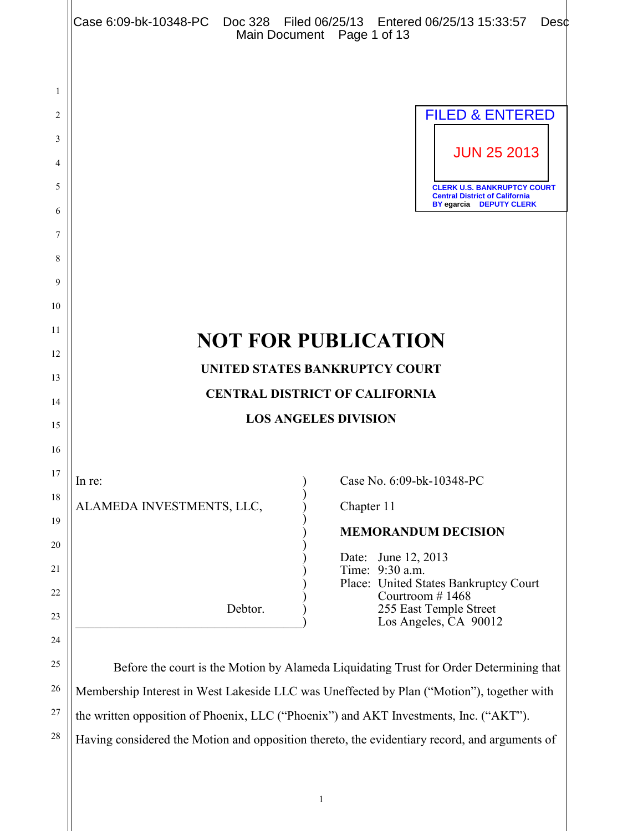|          | Case 6:09-bk-10348-PC  Doc 328  Filed 06/25/13  Entered 06/25/13  15:33:57                | Desc<br>Main Document Page 1 of 13                                                                            |  |  |
|----------|-------------------------------------------------------------------------------------------|---------------------------------------------------------------------------------------------------------------|--|--|
|          |                                                                                           |                                                                                                               |  |  |
| 1        |                                                                                           |                                                                                                               |  |  |
| 2        |                                                                                           | <b>FILED &amp; ENTERED</b>                                                                                    |  |  |
| 3        |                                                                                           | <b>JUN 25 2013</b>                                                                                            |  |  |
| 4        |                                                                                           |                                                                                                               |  |  |
| 5        |                                                                                           | <b>CLERK U.S. BANKRUPTCY COURT</b><br><b>Central District of California</b><br><b>BY egarcia DEPUTY CLERK</b> |  |  |
| 6        |                                                                                           |                                                                                                               |  |  |
| 7        |                                                                                           |                                                                                                               |  |  |
| 8        |                                                                                           |                                                                                                               |  |  |
| 9        |                                                                                           |                                                                                                               |  |  |
| 10<br>11 |                                                                                           |                                                                                                               |  |  |
| 12       |                                                                                           | <b>NOT FOR PUBLICATION</b>                                                                                    |  |  |
| 13       |                                                                                           | UNITED STATES BANKRUPTCY COURT                                                                                |  |  |
| 14       |                                                                                           | <b>CENTRAL DISTRICT OF CALIFORNIA</b>                                                                         |  |  |
| 15       | <b>LOS ANGELES DIVISION</b>                                                               |                                                                                                               |  |  |
| 16       |                                                                                           |                                                                                                               |  |  |
| 17       | In re:                                                                                    | Case No. 6:09-bk-10348-PC                                                                                     |  |  |
| 18       | ALAMEDA INVESTMENTS, LLC,                                                                 | Chapter 11                                                                                                    |  |  |
| 19       |                                                                                           | <b>MEMORANDUM DECISION</b>                                                                                    |  |  |
| 20       |                                                                                           |                                                                                                               |  |  |
| 21       |                                                                                           | Date: June 12, 2013<br>Time: 9:30 a.m.                                                                        |  |  |
| $22\,$   |                                                                                           | Place: United States Bankruptcy Court<br>Courtroom #1468                                                      |  |  |
| 23       | Debtor.                                                                                   | 255 East Temple Street<br>Los Angeles, CA 90012                                                               |  |  |
| 24       |                                                                                           |                                                                                                               |  |  |
| 25       |                                                                                           | Before the court is the Motion by Alameda Liquidating Trust for Order Determining that                        |  |  |
| 26       | Membership Interest in West Lakeside LLC was Uneffected by Plan ("Motion"), together with |                                                                                                               |  |  |
| 27       | the written opposition of Phoenix, LLC ("Phoenix") and AKT Investments, Inc. ("AKT").     |                                                                                                               |  |  |
| 28       |                                                                                           | Having considered the Motion and opposition thereto, the evidentiary record, and arguments of                 |  |  |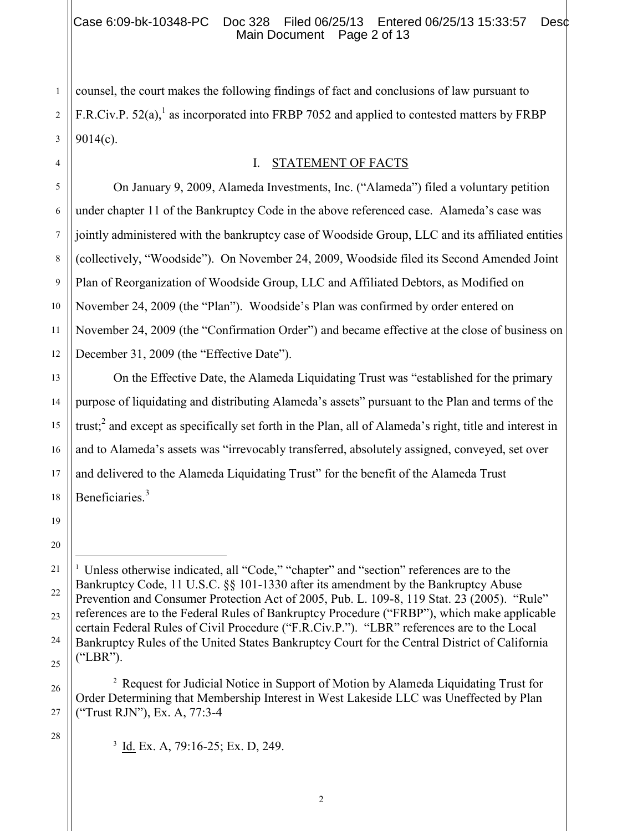counsel, the court makes the following findings of fact and conclusions of law pursuant to F.R.Civ.P.  $52(a)$ ,<sup>1</sup> as incorporated into FRBP 7052 and applied to contested matters by FRBP 9014(c).

#### I. STATEMENT OF FACTS

12 On January 9, 2009, Alameda Investments, Inc. ("Alameda") filed a voluntary petition under chapter 11 of the Bankruptcy Code in the above referenced case. Alameda's case was jointly administered with the bankruptcy case of Woodside Group, LLC and its affiliated entities (collectively, "Woodside"). On November 24, 2009, Woodside filed its Second Amended Joint Plan of Reorganization of Woodside Group, LLC and Affiliated Debtors, as Modified on November 24, 2009 (the "Plan"). Woodside's Plan was confirmed by order entered on November 24, 2009 (the "Confirmation Order") and became effective at the close of business on December 31, 2009 (the "Effective Date").

On the Effective Date, the Alameda Liquidating Trust was "established for the primary purpose of liquidating and distributing Alameda's assets" pursuant to the Plan and terms of the trust;<sup>2</sup> and except as specifically set forth in the Plan, all of Alameda's right, title and interest in and to Alameda's assets was "irrevocably transferred, absolutely assigned, conveyed, set over and delivered to the Alameda Liquidating Trust" for the benefit of the Alameda Trust Beneficiaries.<sup>3</sup>

<sup>2</sup> Request for Judicial Notice in Support of Motion by Alameda Liquidating Trust for Order Determining that Membership Interest in West Lakeside LLC was Uneffected by Plan ("Trust RJN"), Ex. A, 77:3-4

28

26

27

1

2

3

4

5

6

7

8

9

10

11

13

14

15

16

17

18

19

20

 $\overline{a}$ 

<sup>3</sup> Id. Ex. A, 79:16-25; Ex. D, 249.

<sup>21</sup> 22 23 24 25 <sup>1</sup> Unless otherwise indicated, all "Code," "chapter" and "section" references are to the Bankruptcy Code, 11 U.S.C. §§ 101-1330 after its amendment by the Bankruptcy Abuse Prevention and Consumer Protection Act of 2005, Pub. L. 109-8, 119 Stat. 23 (2005). "Rule" references are to the Federal Rules of Bankruptcy Procedure ("FRBP"), which make applicable certain Federal Rules of Civil Procedure ("F.R.Civ.P."). "LBR" references are to the Local Bankruptcy Rules of the United States Bankruptcy Court for the Central District of California ("LBR").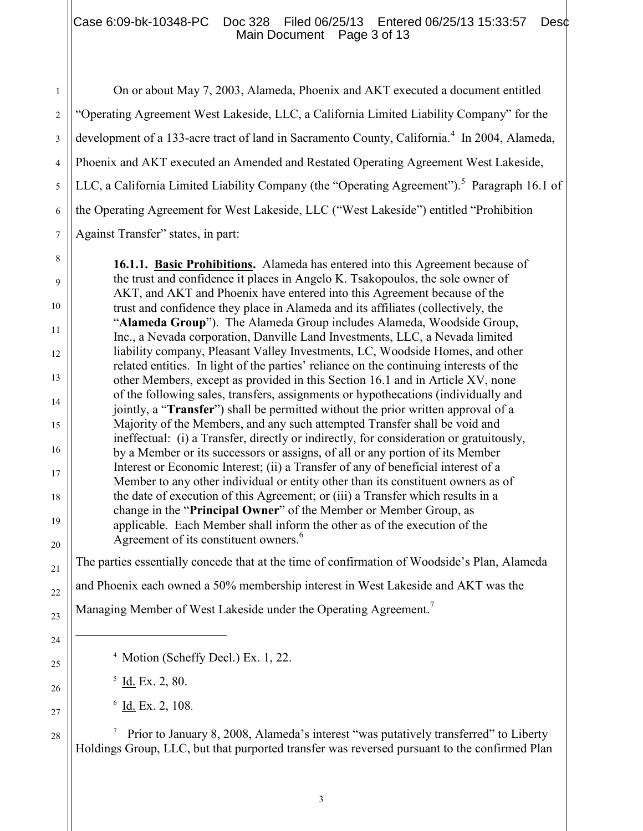## Case 6:09-bk-10348-PC Doc 328 Filed 06/25/13 Entered 06/25/13 15:33:57 Desc Main Document Page 3 of 13

On or about May 7, 2003, Alameda, Phoenix and AKT executed a document entitled "Operating Agreement West Lakeside, LLC, a California Limited Liability Company" for the development of a 133-acre tract of land in Sacramento County, California.<sup>4</sup> In 2004, Alameda, Phoenix and AKT executed an Amended and Restated Operating Agreement West Lakeside, LLC, a California Limited Liability Company (the "Operating Agreement").<sup>5</sup> Paragraph 16.1 of the Operating Agreement for West Lakeside, LLC ("West Lakeside") entitled "Prohibition Against Transfer" states, in part:

**16.1.1. Basic Prohibitions.** Alameda has entered into this Agreement because of the trust and confidence it places in Angelo K. Tsakopoulos, the sole owner of AKT, and AKT and Phoenix have entered into this Agreement because of the trust and confidence they place in Alameda and its affiliates (collectively, the "**Alameda Group**"). The Alameda Group includes Alameda, Woodside Group, Inc., a Nevada corporation, Danville Land Investments, LLC, a Nevada limited liability company, Pleasant Valley Investments, LC, Woodside Homes, and other related entities. In light of the parties' reliance on the continuing interests of the other Members, except as provided in this Section 16.1 and in Article XV, none of the following sales, transfers, assignments or hypothecations (individually and jointly, a "**Transfer**") shall be permitted without the prior written approval of a Majority of the Members, and any such attempted Transfer shall be void and ineffectual: (i) a Transfer, directly or indirectly, for consideration or gratuitously, by a Member or its successors or assigns, of all or any portion of its Member Interest or Economic Interest; (ii) a Transfer of any of beneficial interest of a Member to any other individual or entity other than its constituent owners as of the date of execution of this Agreement; or (iii) a Transfer which results in a change in the "**Principal Owner**" of the Member or Member Group, as applicable. Each Member shall inform the other as of the execution of the Agreement of its constituent owners.<sup>6</sup>

The parties essentially concede that at the time of confirmation of Woodside's Plan, Alameda and Phoenix each owned a 50% membership interest in West Lakeside and AKT was the

Managing Member of West Lakeside under the Operating Agreement.<sup>7</sup>

4 Motion (Scheffy Decl.) Ex. 1, 22.

 $<sup>5</sup>$  <u>Id.</u> Ex. 2, 80.</sup>

 $6$  <u>Id.</u> Ex. 2, 108.

7 Prior to January 8, 2008, Alameda's interest "was putatively transferred" to Liberty Holdings Group, LLC, but that purported transfer was reversed pursuant to the confirmed Plan

1

2

3

4

5

6

7

8

9

10

11

12

13

14

15

16

17

18

19

20

21

22

23

24

 $\overline{a}$ 

25

26

27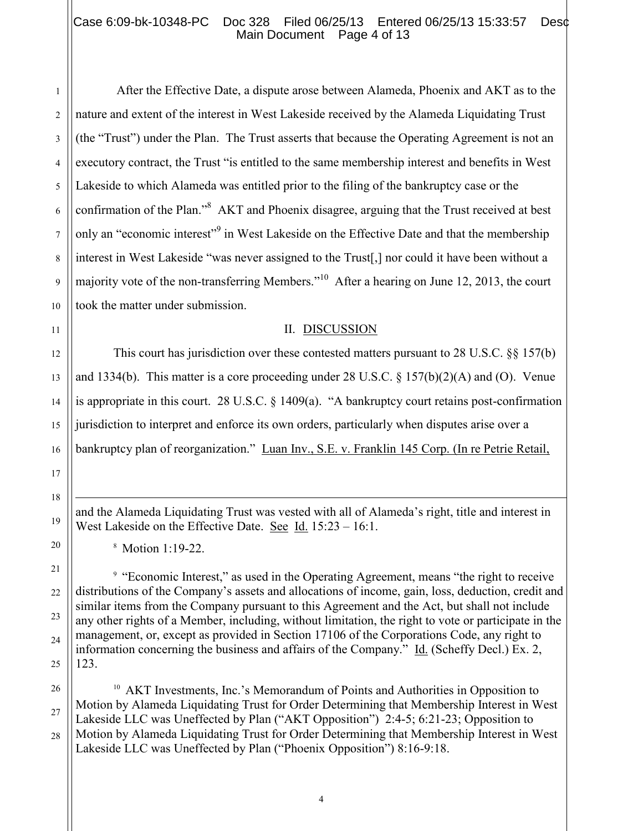## Case 6:09-bk-10348-PC Doc 328 Filed 06/25/13 Entered 06/25/13 15:33:57 Desc Main Document Page 4 of 13

After the Effective Date, a dispute arose between Alameda, Phoenix and AKT as to the nature and extent of the interest in West Lakeside received by the Alameda Liquidating Trust (the "Trust") under the Plan. The Trust asserts that because the Operating Agreement is not an executory contract, the Trust "is entitled to the same membership interest and benefits in West Lakeside to which Alameda was entitled prior to the filing of the bankruptcy case or the confirmation of the Plan."<sup>8</sup> AKT and Phoenix disagree, arguing that the Trust received at best only an "economic interest"<sup>9</sup> in West Lakeside on the Effective Date and that the membership interest in West Lakeside "was never assigned to the Trust[,] nor could it have been without a majority vote of the non-transferring Members."<sup>10</sup> After a hearing on June 12, 2013, the court took the matter under submission.

#### II. DISCUSSION

This court has jurisdiction over these contested matters pursuant to 28 U.S.C. §§ 157(b) and 1334(b). This matter is a core proceeding under 28 U.S.C. § 157(b)(2)(A) and (O). Venue is appropriate in this court. 28 U.S.C. § 1409(a). "A bankruptcy court retains post-confirmation jurisdiction to interpret and enforce its own orders, particularly when disputes arise over a bankruptcy plan of reorganization." Luan Inv., S.E. v. Franklin 145 Corp. (In re Petrie Retail,

and the Alameda Liquidating Trust was vested with all of Alameda's right, title and interest in West Lakeside on the Effective Date. See Id. 15:23 – 16:1.

8 Motion 1:19-22.

<sup>9</sup> "Economic Interest," as used in the Operating Agreement, means "the right to receive distributions of the Company's assets and allocations of income, gain, loss, deduction, credit and similar items from the Company pursuant to this Agreement and the Act, but shall not include any other rights of a Member, including, without limitation, the right to vote or participate in the management, or, except as provided in Section 17106 of the Corporations Code, any right to information concerning the business and affairs of the Company." Id. (Scheffy Decl.) Ex. 2, 123.

<sup>10</sup> AKT Investments, Inc.'s Memorandum of Points and Authorities in Opposition to Motion by Alameda Liquidating Trust for Order Determining that Membership Interest in West Lakeside LLC was Uneffected by Plan ("AKT Opposition") 2:4-5; 6:21-23; Opposition to Motion by Alameda Liquidating Trust for Order Determining that Membership Interest in West Lakeside LLC was Uneffected by Plan ("Phoenix Opposition") 8:16-9:18.

 $\overline{a}$ 

1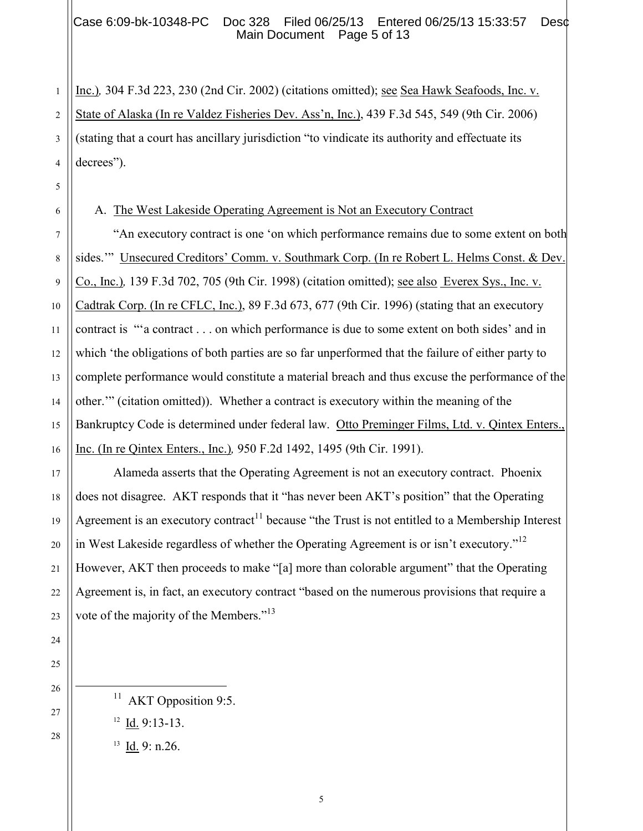## Case 6:09-bk-10348-PC Doc 328 Filed 06/25/13 Entered 06/25/13 15:33:57 Des¢ Main Document Page 5 of 13

Inc.)*,* 304 F.3d 223, 230 (2nd Cir. 2002) (citations omitted); see Sea Hawk Seafoods, Inc. v. State of Alaska (In re Valdez Fisheries Dev. Ass'n, Inc.), 439 F.3d 545, 549 (9th Cir. 2006) (stating that a court has ancillary jurisdiction "to vindicate its authority and effectuate its decrees").

6 7

8

9

10

11

12

13

14

15

16

17

18

19

20

21

22

23

24

25

26

 $\overline{a}$ 

27

28

1

2

3

4

5

## A. The West Lakeside Operating Agreement is Not an Executory Contract

"An executory contract is one 'on which performance remains due to some extent on both sides."" Unsecured Creditors' Comm. v. Southmark Corp. (In re Robert L. Helms Const. & Dev. Co., Inc.)*,* 139 F.3d 702, 705 (9th Cir. 1998) (citation omitted); see also Everex Sys., Inc. v. Cadtrak Corp. (In re CFLC, Inc.), 89 F.3d 673, 677 (9th Cir. 1996) (stating that an executory contract is "'a contract . . . on which performance is due to some extent on both sides' and in which 'the obligations of both parties are so far unperformed that the failure of either party to complete performance would constitute a material breach and thus excuse the performance of the other.'" (citation omitted)). Whether a contract is executory within the meaning of the Bankruptcy Code is determined under federal law. Otto Preminger Films, Ltd. v. Qintex Enters., Inc. (In re Qintex Enters., Inc.)*,* 950 F.2d 1492, 1495 (9th Cir. 1991).

Alameda asserts that the Operating Agreement is not an executory contract. Phoenix does not disagree. AKT responds that it "has never been AKT's position" that the Operating Agreement is an executory contract<sup>11</sup> because "the Trust is not entitled to a Membership Interest in West Lakeside regardless of whether the Operating Agreement is or isn't executory."<sup>12</sup> However, AKT then proceeds to make "[a] more than colorable argument" that the Operating Agreement is, in fact, an executory contract "based on the numerous provisions that require a vote of the majority of the Members."<sup>13</sup>

5

<sup>11</sup> AKT Opposition 9:5.

 $12 \underline{Id}$ . 9:13-13.

 $13$  <u>Id.</u> 9: n.26.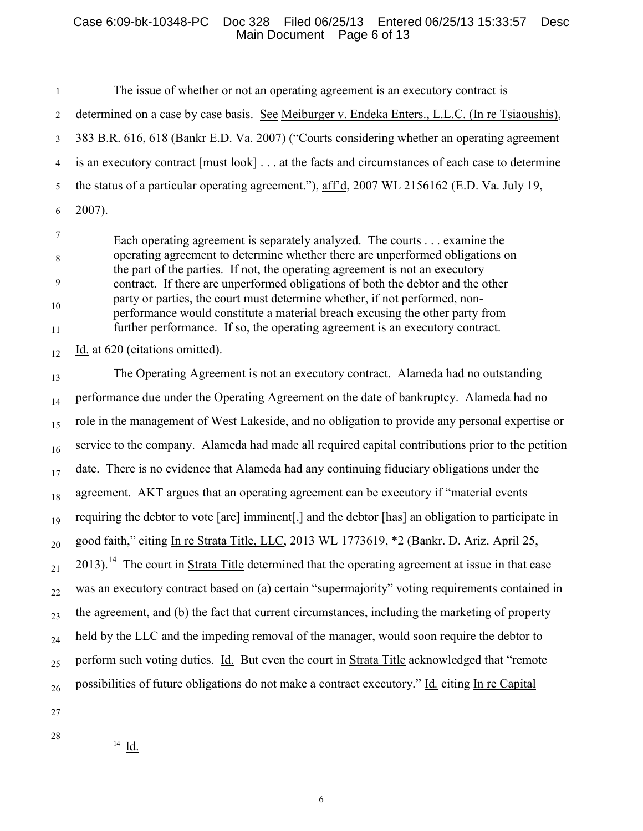#### Case 6:09-bk-10348-PC Doc 328 Filed 06/25/13 Entered 06/25/13 15:33:57 Desc Main Document Page 6 of 13

The issue of whether or not an operating agreement is an executory contract is determined on a case by case basis. See Meiburger v. Endeka Enters., L.L.C. (In re Tsiaoushis), 383 B.R. 616, 618 (Bankr E.D. Va. 2007) ("Courts considering whether an operating agreement is an executory contract [must look] . . . at the facts and circumstances of each case to determine the status of a particular operating agreement."), aff'd, 2007 WL 2156162 (E.D. Va. July 19, 2007).

Each operating agreement is separately analyzed. The courts . . . examine the operating agreement to determine whether there are unperformed obligations on the part of the parties. If not, the operating agreement is not an executory contract. If there are unperformed obligations of both the debtor and the other party or parties, the court must determine whether, if not performed, nonperformance would constitute a material breach excusing the other party from further performance. If so, the operating agreement is an executory contract.

Id. at 620 (citations omitted).

The Operating Agreement is not an executory contract. Alameda had no outstanding performance due under the Operating Agreement on the date of bankruptcy. Alameda had no role in the management of West Lakeside, and no obligation to provide any personal expertise or service to the company. Alameda had made all required capital contributions prior to the petition date. There is no evidence that Alameda had any continuing fiduciary obligations under the agreement. AKT argues that an operating agreement can be executory if "material events requiring the debtor to vote [are] imminent[,] and the debtor [has] an obligation to participate in good faith," citing In re Strata Title, LLC, 2013 WL 1773619, \*2 (Bankr. D. Ariz. April 25, 2013).<sup>14</sup> The court in **Strata Title** determined that the operating agreement at issue in that case was an executory contract based on (a) certain "supermajority" voting requirements contained in the agreement, and (b) the fact that current circumstances, including the marketing of property held by the LLC and the impeding removal of the manager, would soon require the debtor to perform such voting duties. Id. But even the court in Strata Title acknowledged that "remote possibilities of future obligations do not make a contract executory." Id*.* citing In re Capital

1

2

3

 $^{14}$   $\underline{\text{Id}}$ .

l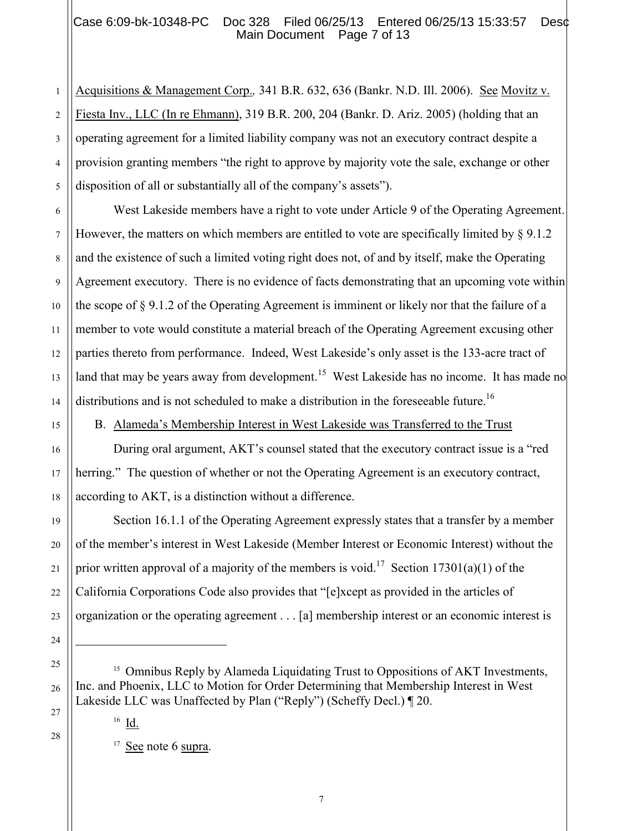## Case 6:09-bk-10348-PC Doc 328 Filed 06/25/13 Entered 06/25/13 15:33:57 Desc Main Document Page 7 of 13

1 2 Acquisitions & Management Corp.*,* 341 B.R. 632, 636 (Bankr. N.D. Ill. 2006). See Movitz v. Fiesta Inv., LLC (In re Ehmann), 319 B.R. 200, 204 (Bankr. D. Ariz. 2005) (holding that an operating agreement for a limited liability company was not an executory contract despite a provision granting members "the right to approve by majority vote the sale, exchange or other disposition of all or substantially all of the company's assets").

West Lakeside members have a right to vote under Article 9 of the Operating Agreement. However, the matters on which members are entitled to vote are specifically limited by § 9.1.2 and the existence of such a limited voting right does not, of and by itself, make the Operating Agreement executory. There is no evidence of facts demonstrating that an upcoming vote within the scope of § 9.1.2 of the Operating Agreement is imminent or likely nor that the failure of a member to vote would constitute a material breach of the Operating Agreement excusing other parties thereto from performance. Indeed, West Lakeside's only asset is the 133-acre tract of land that may be years away from development.<sup>15</sup> West Lakeside has no income. It has made no distributions and is not scheduled to make a distribution in the foreseeable future.<sup>16</sup>

B. Alameda's Membership Interest in West Lakeside was Transferred to the Trust

During oral argument, AKT's counsel stated that the executory contract issue is a "red herring." The question of whether or not the Operating Agreement is an executory contract, according to AKT, is a distinction without a difference.

Section 16.1.1 of the Operating Agreement expressly states that a transfer by a member of the member's interest in West Lakeside (Member Interest or Economic Interest) without the prior written approval of a majority of the members is void.<sup>17</sup> Section 17301(a)(1) of the California Corporations Code also provides that "[e]xcept as provided in the articles of organization or the operating agreement . . . [a] membership interest or an economic interest is

 $17 \text{ See}$  note 6 supra.

 $\overline{a}$ 

<sup>&</sup>lt;sup>15</sup> Omnibus Reply by Alameda Liquidating Trust to Oppositions of AKT Investments, Inc. and Phoenix, LLC to Motion for Order Determining that Membership Interest in West Lakeside LLC was Unaffected by Plan ("Reply") (Scheffy Decl.) ¶ 20.

 $16$   $\underline{\text{Id}}$ .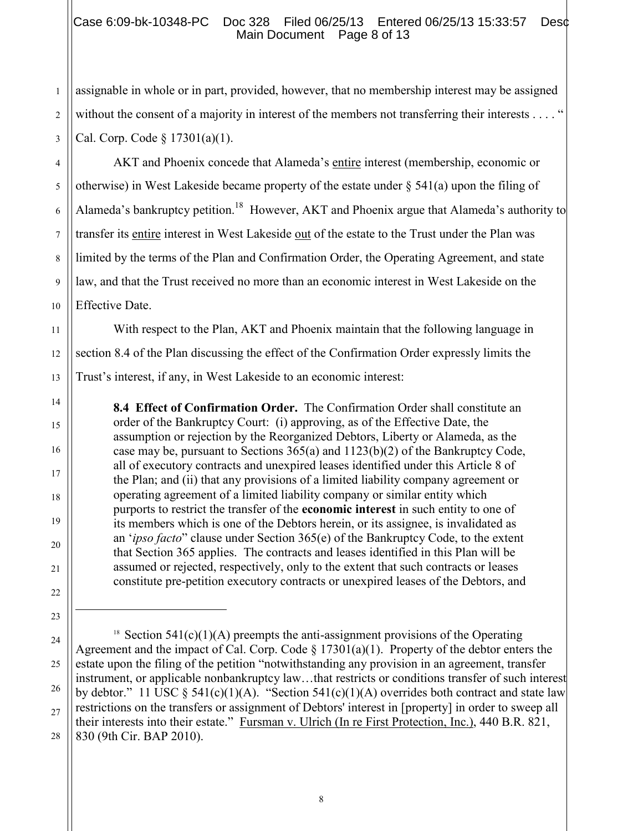## Case 6:09-bk-10348-PC Doc 328 Filed 06/25/13 Entered 06/25/13 15:33:57 Desc Main Document Page 8 of 13

assignable in whole or in part, provided, however, that no membership interest may be assigned without the consent of a majority in interest of the members not transferring their interests . . . . " Cal. Corp. Code § 17301(a)(1).

AKT and Phoenix concede that Alameda's entire interest (membership, economic or otherwise) in West Lakeside became property of the estate under § 541(a) upon the filing of Alameda's bankruptcy petition.<sup>18</sup> However, AKT and Phoenix argue that Alameda's authority to transfer its entire interest in West Lakeside out of the estate to the Trust under the Plan was limited by the terms of the Plan and Confirmation Order, the Operating Agreement, and state law, and that the Trust received no more than an economic interest in West Lakeside on the Effective Date.

With respect to the Plan, AKT and Phoenix maintain that the following language in section 8.4 of the Plan discussing the effect of the Confirmation Order expressly limits the Trust's interest, if any, in West Lakeside to an economic interest:

**8.4 Effect of Confirmation Order.** The Confirmation Order shall constitute an order of the Bankruptcy Court: (i) approving, as of the Effective Date, the assumption or rejection by the Reorganized Debtors, Liberty or Alameda, as the case may be, pursuant to Sections 365(a) and 1123(b)(2) of the Bankruptcy Code, all of executory contracts and unexpired leases identified under this Article 8 of the Plan; and (ii) that any provisions of a limited liability company agreement or operating agreement of a limited liability company or similar entity which purports to restrict the transfer of the **economic interest** in such entity to one of its members which is one of the Debtors herein, or its assignee, is invalidated as an '*ipso facto*" clause under Section 365(e) of the Bankruptcy Code, to the extent that Section 365 applies. The contracts and leases identified in this Plan will be assumed or rejected, respectively, only to the extent that such contracts or leases constitute pre-petition executory contracts or unexpired leases of the Debtors, and

l

1

<sup>28</sup> <sup>18</sup> Section 541(c)(1)(A) preempts the anti-assignment provisions of the Operating Agreement and the impact of Cal. Corp. Code  $\S 17301(a)(1)$ . Property of the debtor enters the estate upon the filing of the petition "notwithstanding any provision in an agreement, transfer instrument, or applicable nonbankruptcy law…that restricts or conditions transfer of such interest by debtor." 11 USC  $\S$  541(c)(1)(A). "Section 541(c)(1)(A) overrides both contract and state law restrictions on the transfers or assignment of Debtors' interest in [property] in order to sweep all their interests into their estate." Fursman v. Ulrich (In re First Protection, Inc.), 440 B.R. 821, 830 (9th Cir. BAP 2010).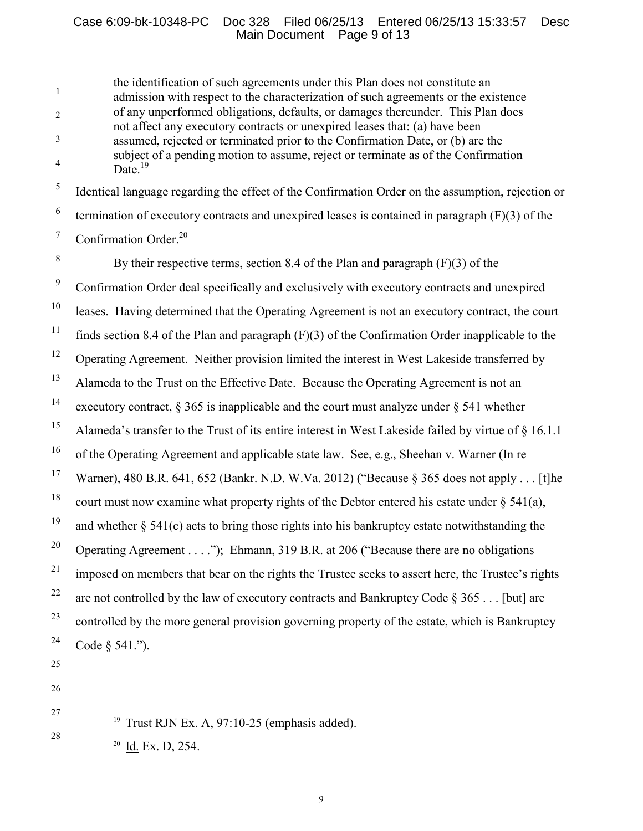#### Case 6:09-bk-10348-PC Doc 328 Filed 06/25/13 Entered 06/25/13 15:33:57 Desc Main Document Page 9 of 13

the identification of such agreements under this Plan does not constitute an admission with respect to the characterization of such agreements or the existence of any unperformed obligations, defaults, or damages thereunder. This Plan does not affect any executory contracts or unexpired leases that: (a) have been assumed, rejected or terminated prior to the Confirmation Date, or (b) are the subject of a pending motion to assume, reject or terminate as of the Confirmation Date  $^{19}$ 

Identical language regarding the effect of the Confirmation Order on the assumption, rejection or termination of executory contracts and unexpired leases is contained in paragraph (F)(3) of the Confirmation Order.<sup>20</sup>

By their respective terms, section 8.4 of the Plan and paragraph (F)(3) of the Confirmation Order deal specifically and exclusively with executory contracts and unexpired leases. Having determined that the Operating Agreement is not an executory contract, the court finds section 8.4 of the Plan and paragraph (F)(3) of the Confirmation Order inapplicable to the Operating Agreement. Neither provision limited the interest in West Lakeside transferred by Alameda to the Trust on the Effective Date. Because the Operating Agreement is not an executory contract,  $\S 365$  is inapplicable and the court must analyze under  $\S 541$  whether Alameda's transfer to the Trust of its entire interest in West Lakeside failed by virtue of § 16.1.1 of the Operating Agreement and applicable state law. See, e.g., Sheehan v. Warner (In re Warner), 480 B.R. 641, 652 (Bankr. N.D. W.Va. 2012) ("Because § 365 does not apply . . . [t]he court must now examine what property rights of the Debtor entered his estate under  $\S$  541(a), and whether  $\S 541(c)$  acts to bring those rights into his bankruptcy estate notwithstanding the Operating Agreement . . . ."); Ehmann, 319 B.R. at 206 ("Because there are no obligations imposed on members that bear on the rights the Trustee seeks to assert here, the Trustee's rights are not controlled by the law of executory contracts and Bankruptcy Code  $\S 365$ ... [but] are controlled by the more general provision governing property of the estate, which is Bankruptcy Code § 541.").

28

19 Trust RJN Ex. A, 97:10-25 (emphasis added).

 $^{20}$  Id. Ex. D, 254.

1

2

3

4

5

6

7

8

9

10

11

12

13

14

15

16

17

18

19

20

21

22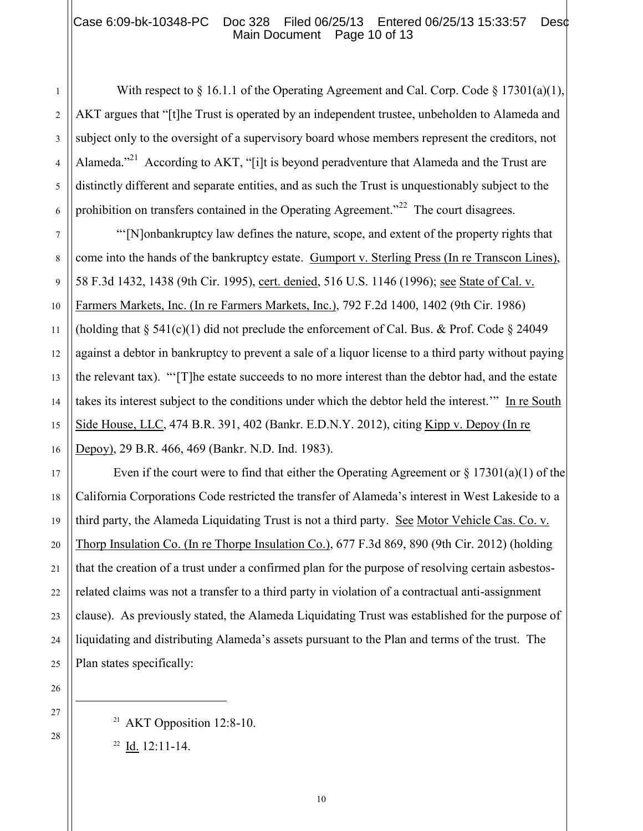## Case 6:09-bk-10348-PC Doc 328 Filed 06/25/13 Entered 06/25/13 15:33:57 Des¢ Main Document Page 10 of 13

With respect to § 16.1.1 of the Operating Agreement and Cal. Corp. Code § 17301(a)(1), AKT argues that "[t]he Trust is operated by an independent trustee, unbeholden to Alameda and subject only to the oversight of a supervisory board whose members represent the creditors, not Alameda."<sup>21</sup> According to AKT, "[i]t is beyond peradventure that Alameda and the Trust are distinctly different and separate entities, and as such the Trust is unquestionably subject to the prohibition on transfers contained in the Operating Agreement.<sup> $22$ </sup> The court disagrees.

"'[N]onbankruptcy law defines the nature, scope, and extent of the property rights that come into the hands of the bankruptcy estate. Gumport v. Sterling Press (In re Transcon Lines), 58 F.3d 1432, 1438 (9th Cir. 1995), cert. denied, 516 U.S. 1146 (1996); see State of Cal. v. Farmers Markets, Inc. (In re Farmers Markets, Inc.), 792 F.2d 1400, 1402 (9th Cir. 1986) (holding that  $\S$  541(c)(1) did not preclude the enforcement of Cal. Bus. & Prof. Code  $\S$  24049 against a debtor in bankruptcy to prevent a sale of a liquor license to a third party without paying the relevant tax). "'[T]he estate succeeds to no more interest than the debtor had, and the estate takes its interest subject to the conditions under which the debtor held the interest.'" In re South Side House, LLC, 474 B.R. 391, 402 (Bankr. E.D.N.Y. 2012), citing Kipp v. Depoy (In re Depoy), 29 B.R. 466, 469 (Bankr. N.D. Ind. 1983).

Even if the court were to find that either the Operating Agreement or  $\S 17301(a)(1)$  of the California Corporations Code restricted the transfer of Alameda's interest in West Lakeside to a third party, the Alameda Liquidating Trust is not a third party. See Motor Vehicle Cas. Co. v. Thorp Insulation Co. (In re Thorpe Insulation Co.), 677 F.3d 869, 890 (9th Cir. 2012) (holding that the creation of a trust under a confirmed plan for the purpose of resolving certain asbestosrelated claims was not a transfer to a third party in violation of a contractual anti-assignment clause). As previously stated, the Alameda Liquidating Trust was established for the purpose of liquidating and distributing Alameda's assets pursuant to the Plan and terms of the trust. The Plan states specifically:

21 AKT Opposition 12:8-10.

 $^{22}$  Id. 12:11-14.

 $\overline{a}$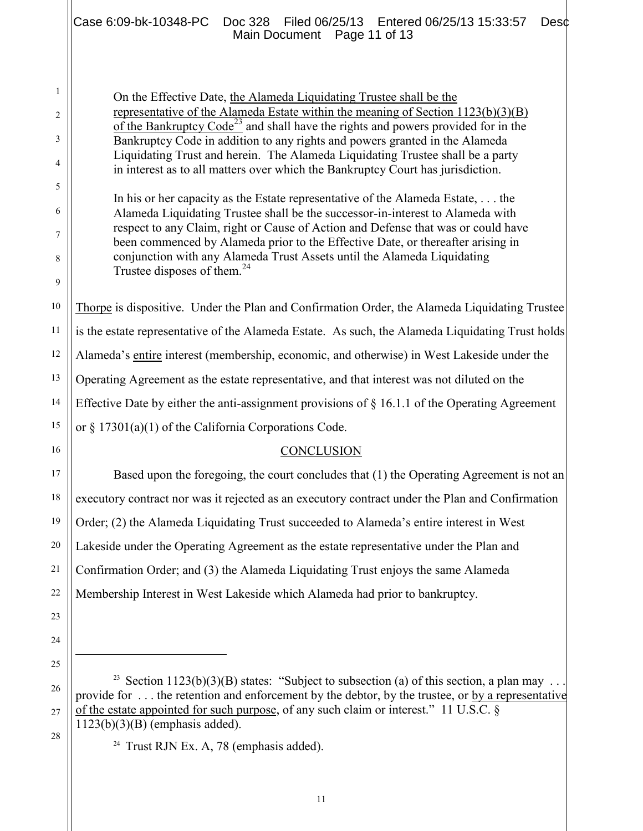1 2 3 4 5 6 7 8 9 10 On the Effective Date, the Alameda Liquidating Trustee shall be the representative of the Alameda Estate within the meaning of Section 1123(b)(3)(B) of the Bankruptcy  $Code^{23}$  and shall have the rights and powers provided for in the Bankruptcy Code in addition to any rights and powers granted in the Alameda Liquidating Trust and herein. The Alameda Liquidating Trustee shall be a party in interest as to all matters over which the Bankruptcy Court has jurisdiction. In his or her capacity as the Estate representative of the Alameda Estate, . . . the Alameda Liquidating Trustee shall be the successor-in-interest to Alameda with respect to any Claim, right or Cause of Action and Defense that was or could have been commenced by Alameda prior to the Effective Date, or thereafter arising in conjunction with any Alameda Trust Assets until the Alameda Liquidating Trustee disposes of them.<sup>24</sup> Case 6:09-bk-10348-PC Doc 328 Filed 06/25/13 Entered 06/25/13 15:33:57 Desc Main Document Page 11 of 13

12 14 Thorpe is dispositive. Under the Plan and Confirmation Order, the Alameda Liquidating Trustee is the estate representative of the Alameda Estate. As such, the Alameda Liquidating Trust holds Alameda's entire interest (membership, economic, and otherwise) in West Lakeside under the Operating Agreement as the estate representative, and that interest was not diluted on the Effective Date by either the anti-assignment provisions of  $\S$  16.1.1 of the Operating Agreement or § 17301(a)(1) of the California Corporations Code.

#### **CONCLUSION**

Based upon the foregoing, the court concludes that (1) the Operating Agreement is not an executory contract nor was it rejected as an executory contract under the Plan and Confirmation Order; (2) the Alameda Liquidating Trust succeeded to Alameda's entire interest in West Lakeside under the Operating Agreement as the estate representative under the Plan and Confirmation Order; and (3) the Alameda Liquidating Trust enjoys the same Alameda Membership Interest in West Lakeside which Alameda had prior to bankruptcy.

<sup>23</sup> Section 1123(b)(3)(B) states: "Subject to subsection (a) of this section, a plan may ... provide for . . . the retention and enforcement by the debtor, by the trustee, or by a representative of the estate appointed for such purpose, of any such claim or interest." 11 U.S.C. § 1123(b)(3)(B) (emphasis added).

<sup>24</sup> Trust RJN Ex. A, 78 (emphasis added).

27 28

11

13

15

16

17

18

19

20

21

22

23

24

25

 $\overline{a}$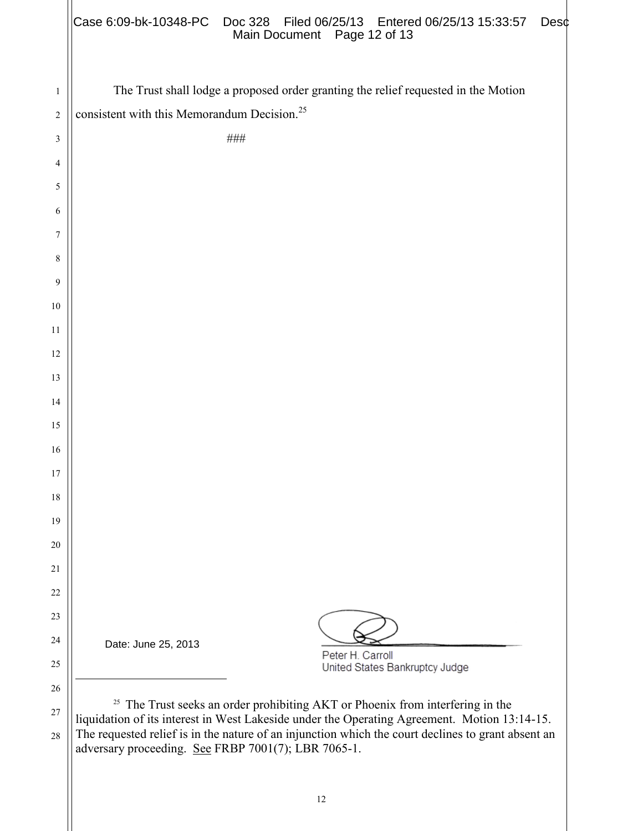|                                                                                    | Main Document Page 12 of 13                                                                                                                                                                                                                                                                     |  |
|------------------------------------------------------------------------------------|-------------------------------------------------------------------------------------------------------------------------------------------------------------------------------------------------------------------------------------------------------------------------------------------------|--|
| The Trust shall lodge a proposed order granting the relief requested in the Motion |                                                                                                                                                                                                                                                                                                 |  |
| consistent with this Memorandum Decision. <sup>25</sup>                            |                                                                                                                                                                                                                                                                                                 |  |
|                                                                                    | ###                                                                                                                                                                                                                                                                                             |  |
|                                                                                    |                                                                                                                                                                                                                                                                                                 |  |
|                                                                                    |                                                                                                                                                                                                                                                                                                 |  |
|                                                                                    |                                                                                                                                                                                                                                                                                                 |  |
|                                                                                    |                                                                                                                                                                                                                                                                                                 |  |
|                                                                                    |                                                                                                                                                                                                                                                                                                 |  |
|                                                                                    |                                                                                                                                                                                                                                                                                                 |  |
|                                                                                    |                                                                                                                                                                                                                                                                                                 |  |
|                                                                                    |                                                                                                                                                                                                                                                                                                 |  |
|                                                                                    |                                                                                                                                                                                                                                                                                                 |  |
|                                                                                    |                                                                                                                                                                                                                                                                                                 |  |
|                                                                                    |                                                                                                                                                                                                                                                                                                 |  |
|                                                                                    |                                                                                                                                                                                                                                                                                                 |  |
|                                                                                    |                                                                                                                                                                                                                                                                                                 |  |
|                                                                                    |                                                                                                                                                                                                                                                                                                 |  |
|                                                                                    |                                                                                                                                                                                                                                                                                                 |  |
|                                                                                    |                                                                                                                                                                                                                                                                                                 |  |
|                                                                                    |                                                                                                                                                                                                                                                                                                 |  |
|                                                                                    |                                                                                                                                                                                                                                                                                                 |  |
|                                                                                    |                                                                                                                                                                                                                                                                                                 |  |
| Date: June 25, 2013                                                                |                                                                                                                                                                                                                                                                                                 |  |
|                                                                                    | Peter H. Carroll<br>United States Bankruptcy Judge                                                                                                                                                                                                                                              |  |
| adversary proceeding. See FRBP 7001(7); LBR 7065-1.                                | <sup>25</sup> The Trust seeks an order prohibiting AKT or Phoenix from interfering in the<br>liquidation of its interest in West Lakeside under the Operating Agreement. Motion 13:14-15.<br>The requested relief is in the nature of an injunction which the court declines to grant absent an |  |